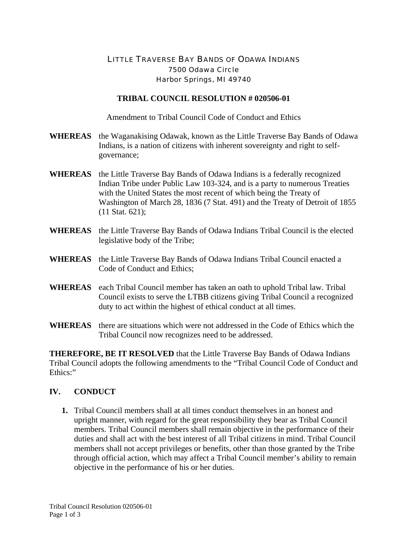### LITTLE TRAVERSE BAY BANDS OF ODAWA INDIANS 7500 Odawa Circle Harbor Springs, MI 49740

#### **TRIBAL COUNCIL RESOLUTION # 020506-01**

Amendment to Tribal Council Code of Conduct and Ethics

- **WHEREAS** the Waganakising Odawak, known as the Little Traverse Bay Bands of Odawa Indians, is a nation of citizens with inherent sovereignty and right to selfgovernance;
- **WHEREAS** the Little Traverse Bay Bands of Odawa Indians is a federally recognized Indian Tribe under Public Law 103-324, and is a party to numerous Treaties with the United States the most recent of which being the Treaty of Washington of March 28, 1836 (7 Stat. 491) and the Treaty of Detroit of 1855 (11 Stat. 621);
- **WHEREAS** the Little Traverse Bay Bands of Odawa Indians Tribal Council is the elected legislative body of the Tribe;
- **WHEREAS** the Little Traverse Bay Bands of Odawa Indians Tribal Council enacted a Code of Conduct and Ethics;
- **WHEREAS** each Tribal Council member has taken an oath to uphold Tribal law. Tribal Council exists to serve the LTBB citizens giving Tribal Council a recognized duty to act within the highest of ethical conduct at all times.
- **WHEREAS** there are situations which were not addressed in the Code of Ethics which the Tribal Council now recognizes need to be addressed.

**THEREFORE, BE IT RESOLVED** that the Little Traverse Bay Bands of Odawa Indians Tribal Council adopts the following amendments to the "Tribal Council Code of Conduct and Ethics:"

#### **IV. CONDUCT**

**1.** Tribal Council members shall at all times conduct themselves in an honest and upright manner, with regard for the great responsibility they bear as Tribal Council members. Tribal Council members shall remain objective in the performance of their duties and shall act with the best interest of all Tribal citizens in mind. Tribal Council members shall not accept privileges or benefits, other than those granted by the Tribe through official action, which may affect a Tribal Council member's ability to remain objective in the performance of his or her duties.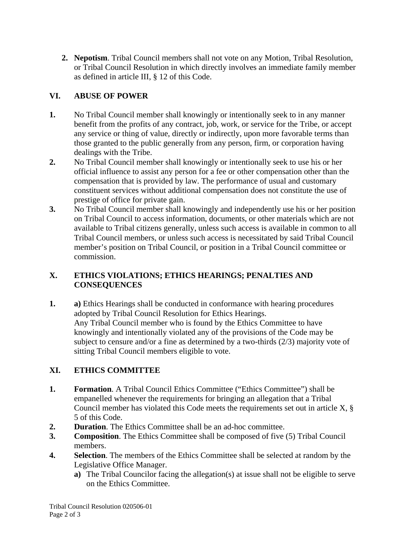**2. Nepotism**. Tribal Council members shall not vote on any Motion, Tribal Resolution, or Tribal Council Resolution in which directly involves an immediate family member as defined in article III, § 12 of this Code.

## **VI. ABUSE OF POWER**

- **1.** No Tribal Council member shall knowingly or intentionally seek to in any manner benefit from the profits of any contract, job, work, or service for the Tribe, or accept any service or thing of value, directly or indirectly, upon more favorable terms than those granted to the public generally from any person, firm, or corporation having dealings with the Tribe.
- **2.** No Tribal Council member shall knowingly or intentionally seek to use his or her official influence to assist any person for a fee or other compensation other than the compensation that is provided by law. The performance of usual and customary constituent services without additional compensation does not constitute the use of prestige of office for private gain.
- **3.** No Tribal Council member shall knowingly and independently use his or her position on Tribal Council to access information, documents, or other materials which are not available to Tribal citizens generally, unless such access is available in common to all Tribal Council members, or unless such access is necessitated by said Tribal Council member's position on Tribal Council, or position in a Tribal Council committee or commission.

### **X. ETHICS VIOLATIONS; ETHICS HEARINGS; PENALTIES AND CONSEQUENCES**

**1. a)** Ethics Hearings shall be conducted in conformance with hearing procedures adopted by Tribal Council Resolution for Ethics Hearings. Any Tribal Council member who is found by the Ethics Committee to have knowingly and intentionally violated any of the provisions of the Code may be subject to censure and/or a fine as determined by a two-thirds (2/3) majority vote of sitting Tribal Council members eligible to vote.

# **XI. ETHICS COMMITTEE**

- **1. Formation**. A Tribal Council Ethics Committee ("Ethics Committee") shall be empanelled whenever the requirements for bringing an allegation that a Tribal Council member has violated this Code meets the requirements set out in article X, § 5 of this Code.
- **2. Duration**. The Ethics Committee shall be an ad-hoc committee.
- **3. Composition**. The Ethics Committee shall be composed of five (5) Tribal Council members.
- **4. Selection**. The members of the Ethics Committee shall be selected at random by the Legislative Office Manager.
	- **a)** The Tribal Councilor facing the allegation(s) at issue shall not be eligible to serve on the Ethics Committee.